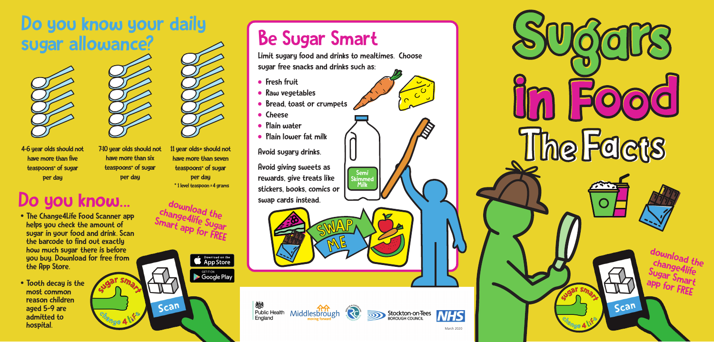# Do you know your daily<br>sugar allowance? sugar allowance?<br>
Limit sugary food and drinks to mealtimes. Choose





4-6 year olds should not have more than five teaspoons \* of sugar per day



- The Change 4Life Food Scanner app helps you check the amount of sugar in your food and drink. Scan the barcode to find out exactly how much sugar there is before you buy. Download for free from the App Store.
- Tooth decay is the reason children<br>aged 5-9 are<br>admitted to hospital.
- **•** Fresh fruit
- Raw vegetables
- Bread, toast or crumpets
- Cheese
- **Plain water**
- Plain lower fat milk

### Do you know...



Scan

**CONDICATE DOWNLOAD ON the App Store** 

**SETITON**<br>Coogle Play

11 year olds + should not have more than seven teaspoons \* of sugar per day \* 1 level teaspoon = 4 grams



sugar free snacks and drinks such as:

Avoid sugary drinks.

Avoid giving sweets as rewards, give treats like stickers, books, comics or swap cards instead.

**A** 

燃 Middlesbrough **Re** Public Health England



Semi Skimme Milk